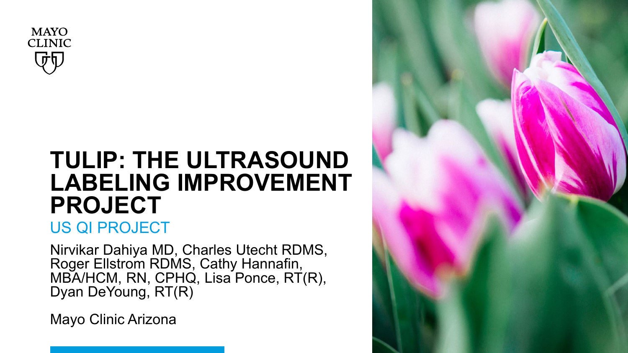

## **TULIP: THE ULTRASOUND LABELING IMPROVEMENT PROJECT**

### US QI PROJECT

Nirvikar Dahiya MD, Charles Utecht RDMS, Roger Ellstrom RDMS, Cathy Hannafin, MBA/HCM, RN, CPHQ, Lisa Ponce, RT(R), Dyan DeYoung, RT(R)

Mayo Clinic Arizona

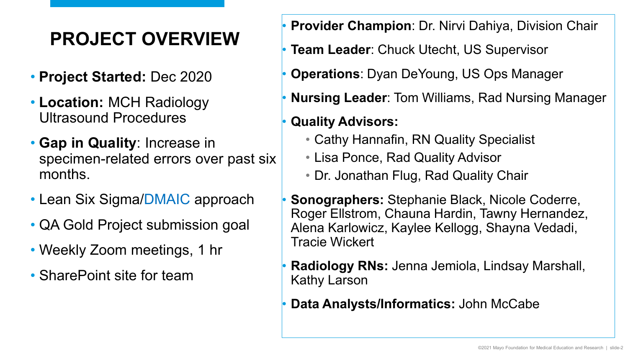## **PROJECT OVERVIEW**

- **Project Started:** Dec 2020
- **Location:** MCH Radiology Ultrasound Procedures
- **Gap in Quality**: Increase in specimen-related errors over past six months.
- Lean Six Sigma/DMAIC approach
- QA Gold Project submission goal
- Weekly Zoom meetings, 1 hr
- SharePoint site for team
- **Provider Champion**: Dr. Nirvi Dahiya, Division Chair
- **Team Leader: Chuck Utecht, US Supervisor**
- **Operations**: Dyan DeYoung, US Ops Manager
- **Nursing Leader**: Tom Williams, Rad Nursing Manager

#### • **Quality Advisors:**

- Cathy Hannafin, RN Quality Specialist
- Lisa Ponce, Rad Quality Advisor
- Dr. Jonathan Flug, Rad Quality Chair
- **Sonographers:** Stephanie Black, Nicole Coderre, Roger Ellstrom, Chauna Hardin, Tawny Hernandez, Alena Karlowicz, Kaylee Kellogg, Shayna Vedadi, Tracie Wickert
- **Radiology RNs:** Jenna Jemiola, Lindsay Marshall, Kathy Larson
- **Data Analysts/Informatics:** John McCabe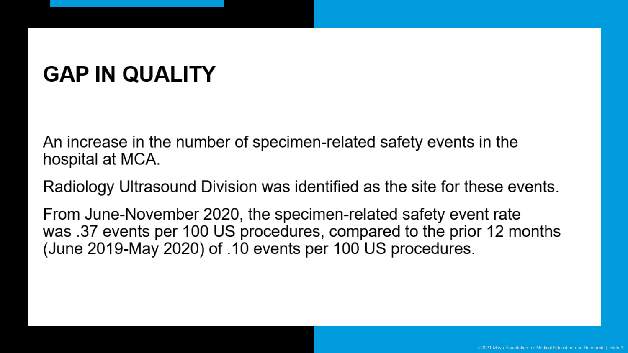## **GAP IN QUALITY**

treatment in the number of specimentrelated safety events in the interest of  $\epsilon$ nnorodoo in tho nambor or opoolmon roldtod odloty ovonto in tho<br>ienital at MCA  $\alpha$  has the signal based ultrasound (US)  $\alpha$ 

Radiology Ultrasound Division was identified as the site for these events.

From June-November 2020, the specimen-related safety event rate was .37 events per 100 US procedures, compared to the prior 12 months (June 2019-May 2020) of  $.10$  events per 100 US procedures. time (TAT) for US procedures. Tatisfaction of the time of examental to examine of examines in the time of exam<br>Tatisfaction of examines in the time of examines in the time of examines in the time of examines in the time o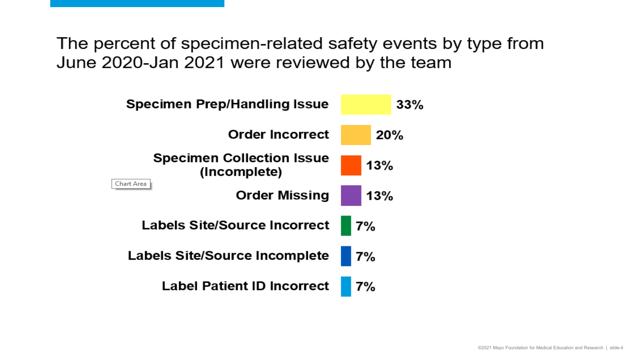The percent of specimen-related safety events by type from June 2020-Jan 2021 were reviewed by the team

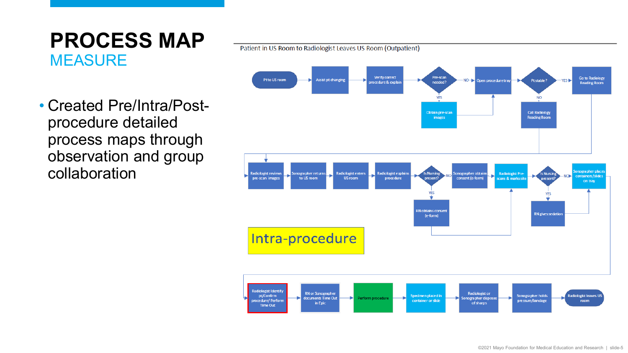### **PROCESS MAP MEASURE**

Patient in US Room to Radiologist Leaves US Room (Outpatient)



• Created Pre/Intra/Postprocedure detailed process maps through observation and group collaboration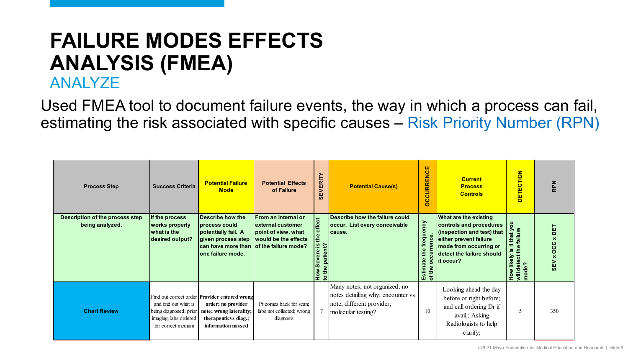## **FAILURE MODES EFFECTS ANALYSIS (FMEA)**

#### ANALYZE

Used FMEA tool to document failure events, the way in which a process can fail, estimating the risk associated with specific causes – Risk Priority Number (RPN)

| <b>Process Step</b>                                       | <b>Success Criteria</b>                                                                       | <b>Potential Failure</b><br><b>Mode</b>                                                                                                             | <b>Potential Effects</b><br>of Failure                                                                          | <b>VERITY</b><br>€Ë           | <b>Potential Cause(s)</b>                                                                                             | <b>CURRENCE</b><br>$\overline{c}$        | <b>Current</b><br><b>Process</b><br><b>Controls</b>                                                                                                                                  | ETECTION<br>$\Box$                                                                         | <b>RPN</b>                                                          |
|-----------------------------------------------------------|-----------------------------------------------------------------------------------------------|-----------------------------------------------------------------------------------------------------------------------------------------------------|-----------------------------------------------------------------------------------------------------------------|-------------------------------|-----------------------------------------------------------------------------------------------------------------------|------------------------------------------|--------------------------------------------------------------------------------------------------------------------------------------------------------------------------------------|--------------------------------------------------------------------------------------------|---------------------------------------------------------------------|
| <b>Description of the process step</b><br>being analyzed. | If the process<br>works properly<br>what is the $\,$<br>desired output?                       | Describe how the<br>process could<br>potentially fail. A<br>given process step<br>can have more than<br>one failure mode.                           | From an internal or<br>external customer<br>point of view, what<br>would be the effects<br>of the failure mode? | the effect<br>to the patient? | Describe how the failure could<br>occur. List every conceivable<br>cause.                                             | the frequency<br>Estimate<br>ŏ<br>of the | <b>What are the existing</b><br>controls and procedures<br>(inspection and test) that<br>either prevent failure<br>mode from occurring or<br>detect the failure should<br>lit occur? | $\overline{5}$<br>that y<br>ā<br>$\equiv$<br><u>.ഗ</u><br>How likely<br>will detect t<br>g | 삠<br>$\overline{\mathbf{x}}$<br>OCC<br>$\pmb{\times}$<br><b>SEV</b> |
| <b>Chart Review</b>                                       | and find out what is<br>being diagnosed; prior<br>imaging; labs ordered<br>for correct medium | Find out correct order <b>Provider entered wrong</b><br>order; no provider<br>note; wrong laterality;<br>therapeuticys diag.;<br>information missed | Pt comes back for scan;<br>labs not collected; wrong<br>diagnosis                                               |                               | Many notes; not organized; no<br>notes detailing why; encounter vs<br>note; different provider;<br>molecular testing? | 10                                       | Looking ahead the day<br>before or right before;<br>and call ordering Dr if<br>avail.; Asking<br>Radiologists to help<br>clarify;                                                    |                                                                                            | 350                                                                 |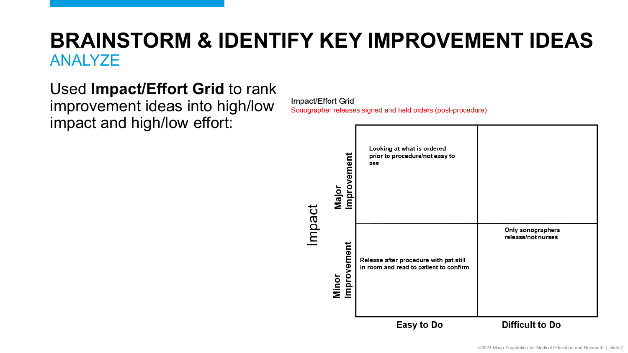### **BRAINSTORM & IDENTIFY KEY IMPROVEMENT IDEAS**  ANALYZE

### Used **Impact/Effort Grid** to rank

improvement ideas into high/low impact and high/low effort:

Impact/Effort Grid

**Sonographer releases signed and held orders (post-procedure)** 

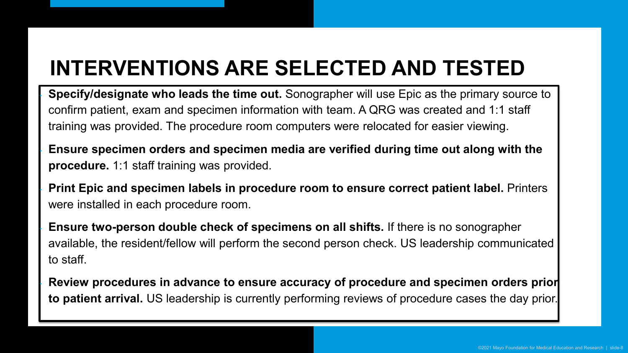## **INTERVENTIONS ARE SELECTED AND TESTED**

ertrong.<br>Confirm patient, exam and specimen information with team. A QRG was created and 1:1 staff training was provided. The procedure room computers were relocated for easier viewing. • **Specify/designate who leads the time out.** Sonographer will use Epic as the primary source to

**Ensure specimen orders and specimen media are verified during time out along with the procedure.** 1:1 staff training was provided.

• **Update specimen reference sheets.** Sonographers reviewed and were installed in each procedure room. **Print Epic and specimen labels in procedure room to ensure correct patient label.** Printers

**Ensure two-person double check of specimens on all shifts.** If there is no sonographer available, the resident/fellow will perform the second person check. US leadership communicated<br>. to staff.

consistent and standardized chart review.<br>The construction of the construction of the construction of the construction of the construction of the constr **Review procedures in advance to ensure accuracy of procedure and specimen orders prior to patient arrival.** US leadership is currently performing reviews of procedure cases the day prior.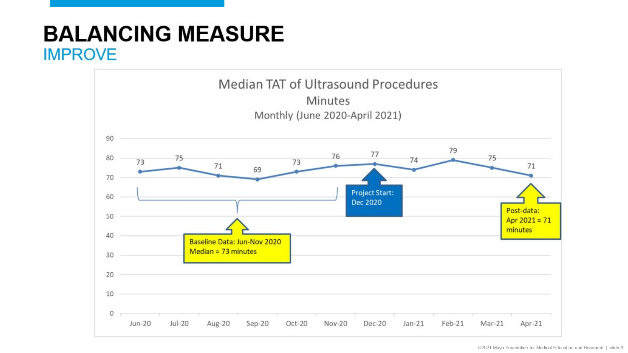### **BALANCING MEASURE** IMPROVE